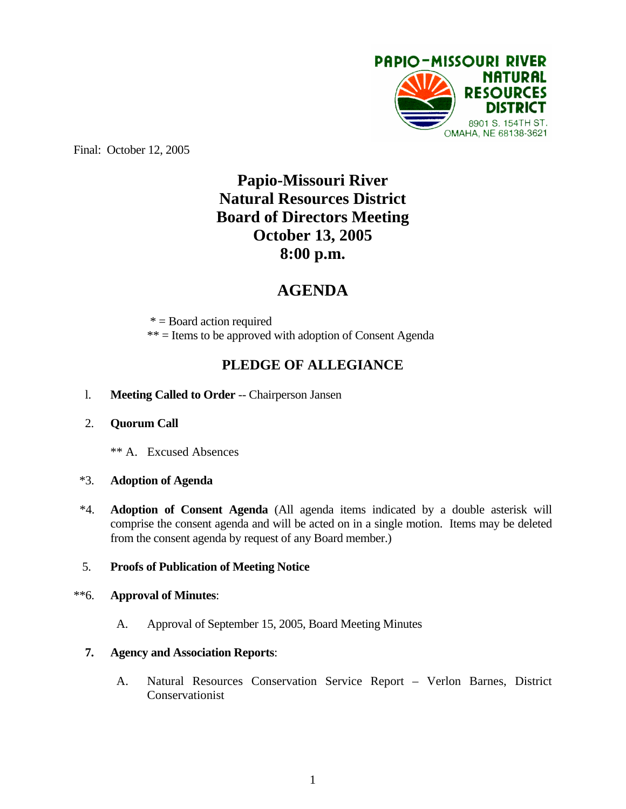

Final: October 12, 2005

# **Papio-Missouri River Natural Resources District Board of Directors Meeting October 13, 2005 8:00 p.m.**

# **AGENDA**

\* = Board action required

\*\* = Items to be approved with adoption of Consent Agenda

## **PLEDGE OF ALLEGIANCE**

- l. **Meeting Called to Order** -- Chairperson Jansen
- 2. **Quorum Call**
	- \*\* A. Excused Absences

#### \*3. **Adoption of Agenda**

\*4. **Adoption of Consent Agenda** (All agenda items indicated by a double asterisk will comprise the consent agenda and will be acted on in a single motion. Items may be deleted from the consent agenda by request of any Board member.)

### 5. **Proofs of Publication of Meeting Notice**

## \*\*6. **Approval of Minutes**:

A. Approval of September 15, 2005, Board Meeting Minutes

#### **7. Agency and Association Reports**:

A. Natural Resources Conservation Service Report – Verlon Barnes, District Conservationist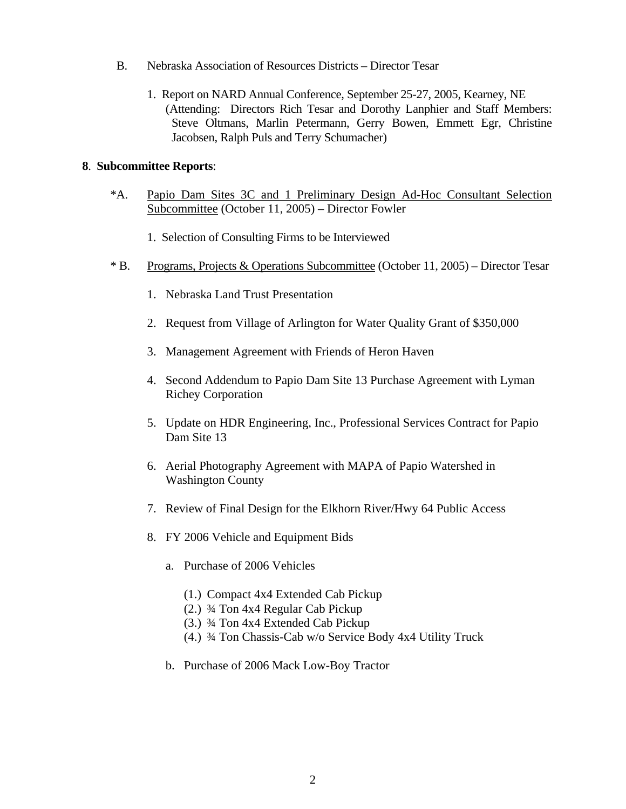- B. Nebraska Association of Resources Districts Director Tesar
	- 1. Report on NARD Annual Conference, September 25-27, 2005, Kearney, NE (Attending: Directors Rich Tesar and Dorothy Lanphier and Staff Members: Steve Oltmans, Marlin Petermann, Gerry Bowen, Emmett Egr, Christine Jacobsen, Ralph Puls and Terry Schumacher)

#### **8**. **Subcommittee Reports**:

- \*A. Papio Dam Sites 3C and 1 Preliminary Design Ad-Hoc Consultant Selection Subcommittee (October 11, 2005) – Director Fowler
	- 1. Selection of Consulting Firms to be Interviewed
- \* B. Programs, Projects & Operations Subcommittee (October 11, 2005) Director Tesar
	- 1. Nebraska Land Trust Presentation
	- 2. Request from Village of Arlington for Water Quality Grant of \$350,000
	- 3. Management Agreement with Friends of Heron Haven
	- 4. Second Addendum to Papio Dam Site 13 Purchase Agreement with Lyman Richey Corporation
	- 5. Update on HDR Engineering, Inc., Professional Services Contract for Papio Dam Site 13
	- 6. Aerial Photography Agreement with MAPA of Papio Watershed in Washington County
	- 7. Review of Final Design for the Elkhorn River/Hwy 64 Public Access
	- 8. FY 2006 Vehicle and Equipment Bids
		- a. Purchase of 2006 Vehicles
			- (1.) Compact 4x4 Extended Cab Pickup
			- (2.) ¾ Ton 4x4 Regular Cab Pickup
			- (3.) ¾ Ton 4x4 Extended Cab Pickup
			- (4.) ¾ Ton Chassis-Cab w/o Service Body 4x4 Utility Truck
		- b. Purchase of 2006 Mack Low-Boy Tractor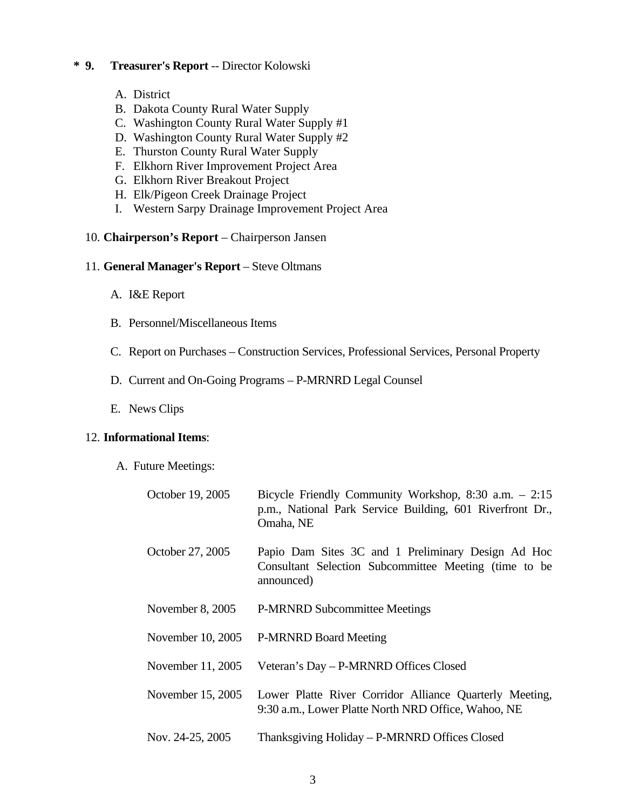#### **\* 9. Treasurer's Report** -- Director Kolowski

- A. District
- B. Dakota County Rural Water Supply
- C. Washington County Rural Water Supply #1
- D. Washington County Rural Water Supply #2
- E. Thurston County Rural Water Supply
- F. Elkhorn River Improvement Project Area
- G. Elkhorn River Breakout Project
- H. Elk/Pigeon Creek Drainage Project
- I. Western Sarpy Drainage Improvement Project Area

#### 10. **Chairperson's Report** – Chairperson Jansen

#### 11. **General Manager's Report** – Steve Oltmans

- A. I&E Report
- B. Personnel/Miscellaneous Items
- C. Report on Purchases Construction Services, Professional Services, Personal Property
- D. Current and On-Going Programs P-MRNRD Legal Counsel
- E. News Clips

#### 12. **Informational Items**:

A. Future Meetings:

| October 19, 2005   | Bicycle Friendly Community Workshop, $8:30$ a.m. $-2:15$<br>p.m., National Park Service Building, 601 Riverfront Dr.,<br>Omaha, NE |
|--------------------|------------------------------------------------------------------------------------------------------------------------------------|
| October 27, 2005   | Papio Dam Sites 3C and 1 Preliminary Design Ad Hoc<br>Consultant Selection Subcommittee Meeting (time to be<br>announced)          |
| November $8, 2005$ | <b>P-MRNRD Subcommittee Meetings</b>                                                                                               |
| November 10, 2005  | <b>P-MRNRD Board Meeting</b>                                                                                                       |
| November 11, 2005  | Veteran's Day - P-MRNRD Offices Closed                                                                                             |
| November 15, 2005  | Lower Platte River Corridor Alliance Quarterly Meeting,<br>9:30 a.m., Lower Platte North NRD Office, Wahoo, NE                     |
| Nov. 24-25, 2005   | Thanksgiving Holiday – P-MRNRD Offices Closed                                                                                      |